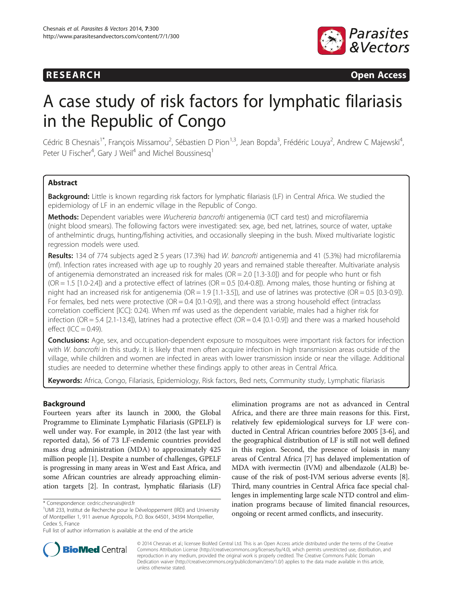

**RESEARCH CHINESEARCH CHINESEARCH CHINESE** 

# A case study of risk factors for lymphatic filariasis in the Republic of Congo

Cédric B Chesnais<sup>1\*</sup>, François Missamou<sup>2</sup>, Sébastien D Pion<sup>1,3</sup>, Jean Bopda<sup>3</sup>, Frédéric Louya<sup>2</sup>, Andrew C Majewski<sup>4</sup> , Peter U Fischer<sup>4</sup>, Gary J Weil<sup>4</sup> and Michel Boussinesq<sup>1</sup>

# Abstract

Background: Little is known regarding risk factors for lymphatic filariasis (LF) in Central Africa. We studied the epidemiology of LF in an endemic village in the Republic of Congo.

Methods: Dependent variables were Wuchereria bancrofti antigenemia (ICT card test) and microfilaremia (night blood smears). The following factors were investigated: sex, age, bed net, latrines, source of water, uptake of anthelmintic drugs, hunting/fishing activities, and occasionally sleeping in the bush. Mixed multivariate logistic regression models were used.

Results: 134 of 774 subjects aged  $\geq$  5 years (17.3%) had W. bancrofti antigenemia and 41 (5.3%) had microfilaremia (mf). Infection rates increased with age up to roughly 20 years and remained stable thereafter. Multivariate analysis of antigenemia demonstrated an increased risk for males (OR = 2.0 [1.3-3.0]) and for people who hunt or fish  $(OR = 1.5 [1.0-2.4])$  and a protective effect of latrines  $(OR = 0.5 [0.4-0.8])$ . Among males, those hunting or fishing at night had an increased risk for antigenemia ( $OR = 1.9$  [1.1-3.5]), and use of latrines was protective ( $OR = 0.5$  [0.3-0.9]). For females, bed nets were protective ( $OR = 0.4$  [0.1-0.9]), and there was a strong household effect (intraclass correlation coefficient [ICC]: 0.24). When mf was used as the dependent variable, males had a higher risk for infection (OR = 5.4 [2.1-13.4]), latrines had a protective effect (OR = 0.4 [0.1-0.9]) and there was a marked household effect  $(ICC = 0.49)$ .

**Conclusions:** Age, sex, and occupation-dependent exposure to mosquitoes were important risk factors for infection with W. bancrofti in this study. It is likely that men often acquire infection in high transmission areas outside of the village, while children and women are infected in areas with lower transmission inside or near the village. Additional studies are needed to determine whether these findings apply to other areas in Central Africa.

Keywords: Africa, Congo, Filariasis, Epidemiology, Risk factors, Bed nets, Community study, Lymphatic filariasis

# Background

Fourteen years after its launch in 2000, the Global Programme to Eliminate Lymphatic Filariasis (GPELF) is well under way. For example, in 2012 (the last year with reported data), 56 of 73 LF-endemic countries provided mass drug administration (MDA) to approximately 425 million people [[1](#page-9-0)]. Despite a number of challenges, GPELF is progressing in many areas in West and East Africa, and some African countries are already approaching elimination targets [[2\]](#page-9-0). In contrast, lymphatic filariasis (LF)

elimination programs are not as advanced in Central Africa, and there are three main reasons for this. First, relatively few epidemiological surveys for LF were conducted in Central African countries before 2005 [[3-6\]](#page-9-0), and the geographical distribution of LF is still not well defined in this region. Second, the presence of loiasis in many areas of Central Africa [\[7\]](#page-9-0) has delayed implementation of MDA with ivermectin (IVM) and albendazole (ALB) because of the risk of post-IVM serious adverse events [[8](#page-9-0)]. Third, many countries in Central Africa face special challenges in implementing large scale NTD control and elimination programs because of limited financial resources, ongoing or recent armed conflicts, and insecurity.



© 2014 Chesnais et al.; licensee BioMed Central Ltd. This is an Open Access article distributed under the terms of the Creative Commons Attribution License [\(http://creativecommons.org/licenses/by/4.0\)](http://creativecommons.org/licenses/by/4.0), which permits unrestricted use, distribution, and reproduction in any medium, provided the original work is properly credited. The Creative Commons Public Domain Dedication waiver [\(http://creativecommons.org/publicdomain/zero/1.0/](http://creativecommons.org/publicdomain/zero/1.0/)) applies to the data made available in this article, unless otherwise stated.

<sup>\*</sup> Correspondence: [cedric.chesnais@ird.fr](mailto:cedric.chesnais@ird.fr) <sup>1</sup>

UMI 233, Institut de Recherche pour le Développement (IRD) and University of Montpellier 1, 911 avenue Agropolis, P.O. Box 64501, 34394 Montpellier, Cedex 5, France

Full list of author information is available at the end of the article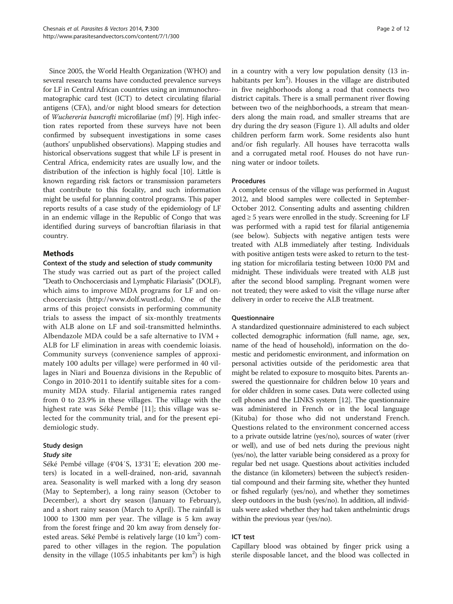Since 2005, the World Health Organization (WHO) and several research teams have conducted prevalence surveys for LF in Central African countries using an immunochromatographic card test (ICT) to detect circulating filarial antigens (CFA), and/or night blood smears for detection of Wuchereria bancrofti microfilariae (mf) [\[9](#page-9-0)]. High infection rates reported from these surveys have not been confirmed by subsequent investigations in some cases (authors' unpublished observations). Mapping studies and historical observations suggest that while LF is present in Central Africa, endemicity rates are usually low, and the distribution of the infection is highly focal [\[10](#page-10-0)]. Little is known regarding risk factors or transmission parameters that contribute to this focality, and such information might be useful for planning control programs. This paper reports results of a case study of the epidemiology of LF in an endemic village in the Republic of Congo that was identified during surveys of bancroftian filariasis in that country.

# Methods

#### Context of the study and selection of study community

The study was carried out as part of the project called "Death to Onchocerciasis and Lymphatic Filariasis" (DOLF), which aims to improve MDA programs for LF and onchocerciasis ([http://www.dolf.wustl.edu\)](http://www.dolf.wustl.edu). One of the arms of this project consists in performing community trials to assess the impact of six-monthly treatments with ALB alone on LF and soil-transmitted helminths. Albendazole MDA could be a safe alternative to IVM + ALB for LF elimination in areas with coendemic loiasis. Community surveys (convenience samples of approximately 100 adults per village) were performed in 40 villages in Niari and Bouenza divisions in the Republic of Congo in 2010-2011 to identify suitable sites for a community MDA study. Filarial antigenemia rates ranged from 0 to 23.9% in these villages. The village with the highest rate was Séké Pembé [\[11](#page-10-0)]; this village was selected for the community trial, and for the present epidemiologic study.

# Study design

#### Study site

Séké Pembé village (4°04′S, 13°31′E; elevation 200 meters) is located in a well-drained, non-arid, savannah area. Seasonality is well marked with a long dry season (May to September), a long rainy season (October to December), a short dry season (January to February), and a short rainy season (March to April). The rainfall is 1000 to 1300 mm per year. The village is 5 km away from the forest fringe and 20 km away from densely forested areas. Séké Pembé is relatively large (10 km<sup>2</sup>) compared to other villages in the region. The population density in the village (105.5 inhabitants per  $km^2$ ) is high

in a country with a very low population density (13 inhabitants per  $km<sup>2</sup>$ ). Houses in the village are distributed in five neighborhoods along a road that connects two district capitals. There is a small permanent river flowing between two of the neighborhoods, a stream that meanders along the main road, and smaller streams that are dry during the dry season (Figure [1](#page-2-0)). All adults and older children perform farm work. Some residents also hunt and/or fish regularly. All houses have terracotta walls and a corrugated metal roof. Houses do not have running water or indoor toilets.

#### Procedures

A complete census of the village was performed in August 2012, and blood samples were collected in September-October 2012. Consenting adults and assenting children aged ≥ 5 years were enrolled in the study. Screening for LF was performed with a rapid test for filarial antigenemia (see below). Subjects with negative antigen tests were treated with ALB immediately after testing. Individuals with positive antigen tests were asked to return to the testing station for microfilaria testing between 10:00 PM and midnight. These individuals were treated with ALB just after the second blood sampling. Pregnant women were not treated; they were asked to visit the village nurse after delivery in order to receive the ALB treatment.

#### **Questionnaire**

A standardized questionnaire administered to each subject collected demographic information (full name, age, sex, name of the head of household), information on the domestic and peridomestic environment, and information on personal activities outside of the peridomestic area that might be related to exposure to mosquito bites. Parents answered the questionnaire for children below 10 years and for older children in some cases. Data were collected using cell phones and the LINKS system [[12](#page-10-0)]. The questionnaire was administered in French or in the local language (Kituba) for those who did not understand French. Questions related to the environment concerned access to a private outside latrine (yes/no), sources of water (river or well), and use of bed nets during the previous night (yes/no), the latter variable being considered as a proxy for regular bed net usage. Questions about activities included the distance (in kilometers) between the subject's residential compound and their farming site, whether they hunted or fished regularly (yes/no), and whether they sometimes sleep outdoors in the bush (yes/no). In addition, all individuals were asked whether they had taken anthelmintic drugs within the previous year (yes/no).

# ICT test

Capillary blood was obtained by finger prick using a sterile disposable lancet, and the blood was collected in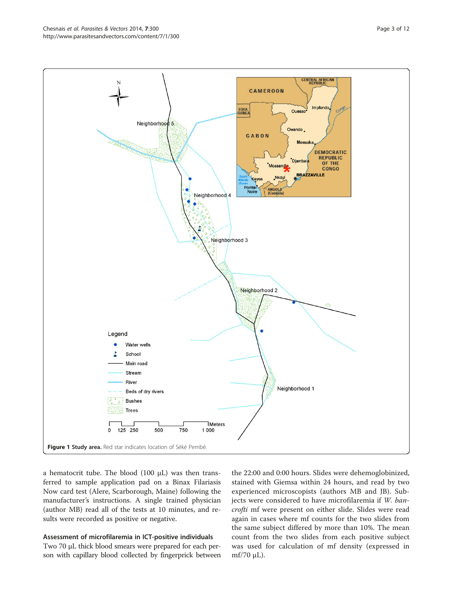<span id="page-2-0"></span>

a hematocrit tube. The blood (100 μL) was then transferred to sample application pad on a Binax Filariasis Now card test (Alere, Scarborough, Maine) following the manufacturer's instructions. A single trained physician (author MB) read all of the tests at 10 minutes, and results were recorded as positive or negative.

# Assessment of microfilaremia in ICT-positive individuals

Two 70 μL thick blood smears were prepared for each person with capillary blood collected by fingerprick between

the 22:00 and 0:00 hours. Slides were dehemoglobinized, stained with Giemsa within 24 hours, and read by two experienced microscopists (authors MB and JB). Subjects were considered to have microfilaremia if W. bancrofti mf were present on either slide. Slides were read again in cases where mf counts for the two slides from the same subject differed by more than 10%. The mean count from the two slides from each positive subject was used for calculation of mf density (expressed in mf/70 μL).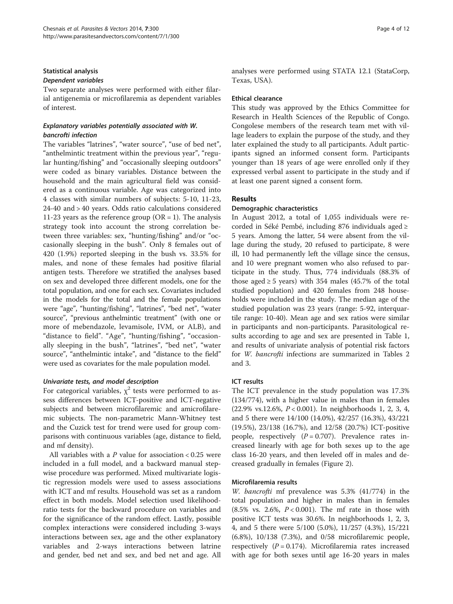# Statistical analysis

# Dependent variables

Two separate analyses were performed with either filarial antigenemia or microfilaremia as dependent variables of interest.

# Explanatory variables potentially associated with W. bancrofti infection

The variables "latrines", "water source", "use of bed net", "anthelmintic treatment within the previous year", "regular hunting/fishing" and "occasionally sleeping outdoors" were coded as binary variables. Distance between the household and the main agricultural field was considered as a continuous variable. Age was categorized into 4 classes with similar numbers of subjects: 5-10, 11-23, 24-40 and > 40 years. Odds ratio calculations considered 11-23 years as the reference group ( $OR = 1$ ). The analysis strategy took into account the strong correlation between three variables: sex, "hunting/fishing" and/or "occasionally sleeping in the bush". Only 8 females out of 420 (1.9%) reported sleeping in the bush vs. 33.5% for males, and none of these females had positive filarial antigen tests. Therefore we stratified the analyses based on sex and developed three different models, one for the total population, and one for each sex. Covariates included in the models for the total and the female populations were "age", "hunting/fishing", "latrines", "bed net", "water source", "previous anthelmintic treatment" (with one or more of mebendazole, levamisole, IVM, or ALB), and "distance to field". "Age", "hunting/fishing", "occasionally sleeping in the bush", "latrines", "bed net", "water source", "anthelmintic intake", and "distance to the field" were used as covariates for the male population model.

# Univariate tests, and model description

For categorical variables,  $\chi^2$  tests were performed to assess differences between ICT-positive and ICT-negative subjects and between microfilaremic and amicrofilaremic subjects. The non-parametric Mann-Whitney test and the Cuzick test for trend were used for group comparisons with continuous variables (age, distance to field, and mf density).

All variables with a  $P$  value for association  $< 0.25$  were included in a full model, and a backward manual stepwise procedure was performed. Mixed multivariate logistic regression models were used to assess associations with ICT and mf results. Household was set as a random effect in both models. Model selection used likelihoodratio tests for the backward procedure on variables and for the significance of the random effect. Lastly, possible complex interactions were considered including 3-ways interactions between sex, age and the other explanatory variables and 2-ways interactions between latrine and gender, bed net and sex, and bed net and age. All analyses were performed using STATA 12.1 (StataCorp, Texas, USA).

# Ethical clearance

This study was approved by the Ethics Committee for Research in Health Sciences of the Republic of Congo. Congolese members of the research team met with village leaders to explain the purpose of the study, and they later explained the study to all participants. Adult participants signed an informed consent form. Participants younger than 18 years of age were enrolled only if they expressed verbal assent to participate in the study and if at least one parent signed a consent form.

# Results

# Demographic characteristics

In August 2012, a total of 1,055 individuals were recorded in Séké Pembé, including 876 individuals aged ≥ 5 years. Among the latter, 54 were absent from the village during the study, 20 refused to participate, 8 were ill, 10 had permanently left the village since the census, and 10 were pregnant women who also refused to participate in the study. Thus, 774 individuals (88.3% of those aged  $\geq 5$  years) with 354 males (45.7% of the total studied population) and 420 females from 248 households were included in the study. The median age of the studied population was 23 years (range: 5-92, interquartile range: 10-40). Mean age and sex ratios were similar in participants and non-participants. Parasitological results according to age and sex are presented in Table [1](#page-4-0), and results of univariate analysis of potential risk factors for W. bancrofti infections are summarized in Tables [2](#page-5-0) and [3.](#page-6-0)

# ICT results

The ICT prevalence in the study population was 17.3% (134/774), with a higher value in males than in females (22.9% vs.12.6%, P < 0.001). In neighborhoods 1, 2, 3, 4, and 5 there were 14/100 (14.0%), 42/257 (16.3%), 43/221 (19.5%), 23/138 (16.7%), and 12/58 (20.7%) ICT-positive people, respectively  $(P = 0.707)$ . Prevalence rates increased linearly with age for both sexes up to the age class 16-20 years, and then leveled off in males and decreased gradually in females (Figure [2](#page-6-0)).

# Microfilaremia results

W. bancrofti mf prevalence was 5.3% (41/774) in the total population and higher in males than in females (8.5% vs. 2.6%,  $P < 0.001$ ). The mf rate in those with positive ICT tests was 30.6%. In neighborhoods 1, 2, 3, 4, and 5 there were 5/100 (5.0%), 11/257 (4.3%), 15/221 (6.8%), 10/138 (7.3%), and 0/58 microfilaremic people, respectively  $(P = 0.174)$ . Microfilaremia rates increased with age for both sexes until age 16-20 years in males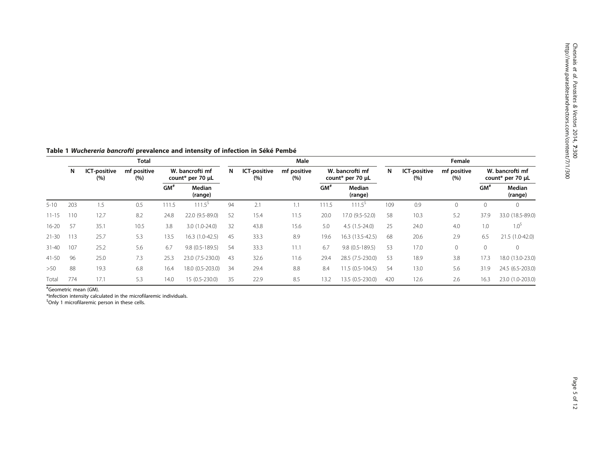|           | Total |      |                     |       |                    |                   | Male                                |      |                     |                    | Female            |                                     |     |                     |                    |                   |                                     |
|-----------|-------|------|---------------------|-------|--------------------|-------------------|-------------------------------------|------|---------------------|--------------------|-------------------|-------------------------------------|-----|---------------------|--------------------|-------------------|-------------------------------------|
|           | N     |      | ICT-positive<br>(%) |       | mf positive<br>(%) |                   | W. bancrofti mf<br>count* per 70 µL | N    | ICT-positive<br>(%) | mf positive<br>(%) |                   | W. bancrofti mf<br>count* per 70 µL | N   | ICT-positive<br>(%) | mf positive<br>(%) |                   | W. bancrofti mf<br>count* per 70 µL |
|           |       |      |                     |       | GM <sup>3</sup>    | Median<br>(range) |                                     |      |                     | GM <sup>#</sup>    | Median<br>(range) |                                     |     |                     | GM <sup>#</sup>    | Median<br>(range) |                                     |
| $5 - 10$  | 203   | 1.5  | 0.5                 | 111.5 | $111.5^{\circ}$    | 94                | 2.1                                 | 1.1  | 111.5               | $111.5^{\circ}$    | 109               | 0.9                                 | 0   | 0                   | 0                  |                   |                                     |
| $11 - 15$ | 110   | 12.7 | 8.2                 | 24.8  | 22.0 (9.5-89.0)    | 52                | 15.4                                | 11.5 | 20.0                | 17.0 (9.5-52.0)    | 58                | 10.3                                | 5.2 | 37.9                | 33.0 (18.5-89.0)   |                   |                                     |
| $16 - 20$ | 57    | 35.1 | 10.5                | 3.8   | $3.0(1.0-24.0)$    | 32                | 43.8                                | 15.6 | 5.0                 | $4.5(1.5-24.0)$    | 25                | 24.0                                | 4.0 | 1.0                 | $1.0^5$            |                   |                                     |
| $21 - 30$ | 113   | 25.7 | 5.3                 | 13.5  | 16.3 (1.0-42.5)    | 45                | 33.3                                | 8.9  | 19.6                | 16.3 (13.5-42.5)   | 68                | 20.6                                | 2.9 | 6.5                 | 21.5 (1.0-42.0)    |                   |                                     |
| $31 - 40$ | 107   | 25.2 | 5.6                 | 6.7   | $9.8(0.5-189.5)$   | 54                | 33.3                                | 11.1 | 6.7                 | $9.8(0.5-189.5)$   | 53                | 17.0                                | 0   | $\mathbf{0}$        | $\Omega$           |                   |                                     |
| 41-50     | 96    | 25.0 | 7.3                 | 25.3  | 23.0 (7.5-230.0)   | 43                | 32.6                                | 11.6 | 29.4                | 28.5 (7.5-230.0)   | 53                | 18.9                                | 3.8 | 17.3                | 18.0 (13.0-23.0)   |                   |                                     |
| >50       | 88    | 19.3 | 6.8                 | 16.4  | 18.0 (0.5-203.0)   | 34                | 29.4                                | 8.8  | 8.4                 | 11.5 (0.5-104.5)   | 54                | 13.0                                | 5.6 | 31.9                | 24.5 (6.5-203.0)   |                   |                                     |
| Total     | 774   | 17.1 | 5.3                 | 14.0  | 15 (0.5-230.0)     | 35                | 22.9                                | 8.5  | 13.2                | 13.5 (0.5-230.0)   | 420               | 12.6                                | 2.6 | 16.3                | 23.0 (1.0-203.0)   |                   |                                     |

<span id="page-4-0"></span>Table 1 Wuchereria bancrofti prevalence and intensity of infection in Séké Pembé

# Geometric mean (GM).

\*Infection intensity calculated in the microfilaremic individuals.

<sup>\$</sup>Only 1 microfilaremic person in these cells.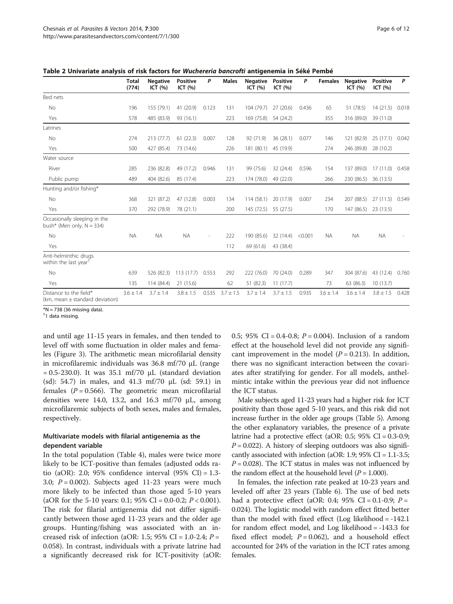|                                                               | <b>Total</b><br>(774) | <b>Negative</b><br>ICT $(% )$ | <b>Positive</b><br>ICT $(% )$ | P                        | <b>Males</b>  | <b>Negative</b><br>ICT $(% )$ | <b>Positive</b><br>ICT $(% )$ | P       | <b>Females</b> | <b>Negative</b><br>ICT $(% )$ | <b>Positive</b><br>ICT $(% )$ | P     |
|---------------------------------------------------------------|-----------------------|-------------------------------|-------------------------------|--------------------------|---------------|-------------------------------|-------------------------------|---------|----------------|-------------------------------|-------------------------------|-------|
| Bed nets                                                      |                       |                               |                               |                          |               |                               |                               |         |                |                               |                               |       |
| No                                                            | 196                   | 155 (79.1)                    | 41 (20.9)                     | 0.123                    | 131           | 104 (79.7)                    | 27(20.6)                      | 0.436   | 65             | 51 (78.5)                     | 14(21.5)                      | 0.018 |
| Yes                                                           | 578                   | 485 (83.9)                    | 93 (16.1)                     |                          | 223           | 169 (75.8)                    | 54 (24.2)                     |         | 355            | 316 (89.0)                    | 39 (11.0)                     |       |
| Latrines                                                      |                       |                               |                               |                          |               |                               |                               |         |                |                               |                               |       |
| <b>No</b>                                                     | 274                   | 213 (77.7)                    | 61(22.3)                      | 0.007                    | 128           | 92 (71.9)                     | 36(28.1)                      | 0.077   | 146            | 121 (82.9)                    | 25(17.1)                      | 0.042 |
| Yes                                                           | 500                   | 427 (85.4)                    | 73 (14.6)                     |                          | 226           | 181 (80.1)                    | 45 (19.9)                     |         | 274            | 246 (89.8)                    | 28 (10.2)                     |       |
| Water source                                                  |                       |                               |                               |                          |               |                               |                               |         |                |                               |                               |       |
| River                                                         | 285                   | 236 (82.8)                    | 49 (17.2)                     | 0.946                    | 131           | 99 (75.6)                     | 32 (24.4)                     | 0.596   | 154            | 137 (89.0)                    | 17(11.0)                      | 0.458 |
| Public pump                                                   | 489                   | 404 (82.6)                    | 85 (17.4)                     |                          | 223           | 174 (78.0)                    | 49 (22.0)                     |         | 266            | 230 (86.5)                    | 36 (13.5)                     |       |
| Hunting and/or fishing*                                       |                       |                               |                               |                          |               |                               |                               |         |                |                               |                               |       |
| No                                                            | 368                   | 321 (87.2)                    | 47 (12.8)                     | 0.003                    | 134           | 114 (58.1)                    | 20 (17.9)                     | 0.007   | 234            | 207 (88.5)                    | 27(11.5)                      | 0.549 |
| Yes                                                           | 370                   | 292 (78.9)                    | 78 (21.1)                     |                          | 200           | 145 (72.5)                    | 55 (27.5)                     |         | 170            | 147 (86.5)                    | 23 (13.5)                     |       |
| Occasionally sleeping in the<br>bush* (Men only, $N = 334$ )  |                       |                               |                               |                          |               |                               |                               |         |                |                               |                               |       |
| <b>No</b>                                                     | <b>NA</b>             | <b>NA</b>                     | <b>NA</b>                     | $\overline{\phantom{a}}$ | 222           | 190 (85.6)                    | 32 (14.4)                     | < 0.001 | NA.            | <b>NA</b>                     | <b>NA</b>                     |       |
| Yes                                                           |                       |                               |                               |                          | 112           | 69 (61.6)                     | 43 (38.4)                     |         |                |                               |                               |       |
| Anti-helminthic drugs<br>within the last year <sup>t</sup>    |                       |                               |                               |                          |               |                               |                               |         |                |                               |                               |       |
| No                                                            | 639                   | 526 (82.3)                    | 113(17.7)                     | 0.553                    | 292           | 222 (76.0)                    | 70 (24.0)                     | 0.289   | 347            | 304 (87.6)                    | 43 (12.4)                     | 0.760 |
| Yes                                                           | 135                   | 114 (84.4)                    | 21 (15.6)                     |                          | 62            | 51 (82.3)                     | 11(17.7)                      |         | 73             | 63 (86.3)                     | 10 (13.7)                     |       |
| Distance to the field*<br>(km, mean $\pm$ standard deviation) | $3.6 \pm 1.4$         | $3.7 \pm 1.4$                 | $3.8 \pm 1.5$                 | 0.535                    | $3.7 \pm 1.5$ | $3.7 \pm 1.4$                 | $3.7 \pm 1.5$                 | 0.935   | $3.6 \pm 1.4$  | $3.6 \pm 1.4$                 | $3.8 \pm 1.5$                 | 0.428 |

<span id="page-5-0"></span>Table 2 Univariate analysis of risk factors for Wuchereria bancrofti antigenemia in Séké Pembé

 $*N = 738$  (36 missing data).

† 1 data missing.

and until age 11-15 years in females, and then tended to level off with some fluctuation in older males and females (Figure [3](#page-6-0)). The arithmetic mean microfilarial density in microfilaremic individuals was 36.8 mf/70 μL (range  $= 0.5 - 230.0$ ). It was 35.1 mf/70  $\mu$ L (standard deviation (sd): 54.7) in males, and 41.3 mf/70 μL (sd: 59.1) in females ( $P = 0.566$ ). The geometric mean microfilarial densities were 14.0, 13.2, and 16.3 mf/70  $\mu$ L, among microfilaremic subjects of both sexes, males and females, respectively.

# Multivariate models with filarial antigenemia as the dependent variable

In the total population (Table [4\)](#page-7-0), males were twice more likely to be ICT-positive than females (adjusted odds ratio (aOR): 2.0; 95% confidence interval  $(95\% \text{ CI}) = 1.3$ -3.0;  $P = 0.002$ ). Subjects aged 11-23 years were much more likely to be infected than those aged 5-10 years (aOR for the 5-10 years: 0.1; 95% CI = 0.0-0.2;  $P < 0.001$ ). The risk for filarial antigenemia did not differ significantly between those aged 11-23 years and the older age groups. Hunting/fishing was associated with an increased risk of infection (aOR: 1.5; 95% CI = 1.0-2.4;  $P =$ 0.058). In contrast, individuals with a private latrine had a significantly decreased risk for ICT-positivity (aOR: 0.5; 95% CI = 0.4-0.8;  $P = 0.004$ ). Inclusion of a random effect at the household level did not provide any significant improvement in the model  $(P = 0.213)$ . In addition, there was no significant interaction between the covariates after stratifying for gender. For all models, anthelmintic intake within the previous year did not influence the ICT status.

Male subjects aged 11-23 years had a higher risk for ICT positivity than those aged 5-10 years, and this risk did not increase further in the older age groups (Table [5](#page-7-0)). Among the other explanatory variables, the presence of a private latrine had a protective effect (aOR: 0.5; 95% CI = 0.3-0.9;  $P = 0.022$ ). A history of sleeping outdoors was also significantly associated with infection (aOR: 1.9;  $95\%$  CI = 1.1-3.5;  $P = 0.028$ ). The ICT status in males was not influenced by the random effect at the household level  $(P = 1.000)$ .

In females, the infection rate peaked at 10-23 years and leveled off after 23 years (Table [6\)](#page-7-0). The use of bed nets had a protective effect (aOR: 0.4; 95% CI = 0.1-0.9;  $P =$ 0.024). The logistic model with random effect fitted better than the model with fixed effect (Log likelihood = -142.1 for random effect model, and Log likelihood = -143.3 for fixed effect model;  $P = 0.062$ ), and a household effect accounted for 24% of the variation in the ICT rates among females.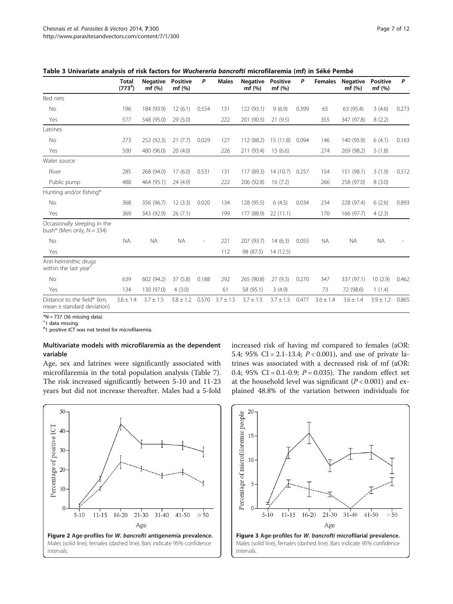|                                                               | <b>Total</b><br>$(773^{\#})$ | <b>Negative</b><br>mf(%) | <b>Positive</b><br>mf(%) | P     | <b>Males</b>  | <b>Negative</b><br>mf(%) | <b>Positive</b><br>mf(%) | Ρ     | <b>Females</b> | <b>Negative</b><br>mf(%) | <b>Positive</b><br>mf(%) | P     |
|---------------------------------------------------------------|------------------------------|--------------------------|--------------------------|-------|---------------|--------------------------|--------------------------|-------|----------------|--------------------------|--------------------------|-------|
| Bed nets                                                      |                              |                          |                          |       |               |                          |                          |       |                |                          |                          |       |
| <b>No</b>                                                     | 196                          | 184 (93.9)               | 12(6.1)                  | 0.554 | 131           | 122 (93.1)               | 9(6.9)                   | 0.399 | 65             | 63 (95.4)                | 3(4.6)                   | 0.273 |
| Yes                                                           | 577                          | 548 (95.0)               | 29 (5.0)                 |       | 222           | 201 (90.5)               | 21(9.5)                  |       | 355            | 347 (97.8)               | 8(2.2)                   |       |
| Latrines                                                      |                              |                          |                          |       |               |                          |                          |       |                |                          |                          |       |
| No                                                            | 273                          | 252 (92.3)               | 21(7.7)                  | 0.029 | 127           | 112 (88.2)               | 15(11.8)                 | 0.094 | 146            | 140 (95.9)               | 6(4.1)                   | 0.163 |
| Yes                                                           | 500                          | 480 (96.0)               | 20(4.0)                  |       | 226           | 211 (93.4)               | 15(6.6)                  |       | 274            | 269 (98.2)               | 5(1.8)                   |       |
| Water source                                                  |                              |                          |                          |       |               |                          |                          |       |                |                          |                          |       |
| River                                                         | 285                          | 268 (94.0)               | 17(6.0)                  | 0.531 | 131           | 117 (89.3)               | 14(10.7)                 | 0.257 | 154            | 151 (98.1)               | 3(1.9)                   | 0.512 |
| Public pump                                                   | 488                          | 464 (95.1)               | 24 (4.9)                 |       | 222           | 206 (92.8)               | 16(7.2)                  |       | 266            | 258 (97.0)               | 8(3.0)                   |       |
| Hunting and/or fishing*                                       |                              |                          |                          |       |               |                          |                          |       |                |                          |                          |       |
| <b>No</b>                                                     | 368                          | 356 (96.7)               | 12(3.3)                  | 0.020 | 134           | 128 (95.5)               | 6(4.5)                   | 0.034 | 234            | 228 (97.4)               | 6(2.6)                   | 0.893 |
| Yes                                                           | 369                          | 343 (92.9)               | 26(7.1)                  |       | 199           | 177 (88.9)               | 22(11.1)                 |       | 170            | 166 (97.7)               | 4(2.3)                   |       |
| Occasionally sleeping in the<br>bush* (Men only, $N = 334$ )  |                              |                          |                          |       |               |                          |                          |       |                |                          |                          |       |
| No                                                            | <b>NA</b>                    | <b>NA</b>                | <b>NA</b>                |       | 221           | 207 (93.7)               | 14(6.3)                  | 0.055 | <b>NA</b>      | <b>NA</b>                | <b>NA</b>                |       |
| Yes                                                           |                              |                          |                          |       | 112           | 98 (87.5)                | 14 (12.5)                |       |                |                          |                          |       |
| Anti-helminthic drugs<br>within the last year <sup>†</sup>    |                              |                          |                          |       |               |                          |                          |       |                |                          |                          |       |
| <b>No</b>                                                     | 639                          | 602 (94.2)               | 37(5.8)                  | 0.188 | 292           | 265 (90.8)               | 27(9.3)                  | 0.270 | 347            | 337 (97.1)               | 10(2.9)                  | 0.462 |
| Yes                                                           | 134                          | 130 (97.0)               | 4(3.0)                   |       | 61            | 58 (95.1)                | 3(4.9)                   |       | 73             | 72 (98.6)                | 1(1.4)                   |       |
| Distance to the field* (km,<br>mean $\pm$ standard deviation) | $3.6 \pm 1.4$                | $3.7 \pm 1.5$            | $3.8 \pm 1.2$            | 0.570 | $3.7 \pm 1.5$ | $3.7 \pm 1.5$            | $3.7 \pm 1.5$            | 0.477 | $3.6 \pm 1.4$  | $3.6 \pm 1.4$            | $3.9 \pm 1.2$            | 0.865 |

<span id="page-6-0"></span>

| Table 3 Univariate analysis of risk factors for Wuchereria bancrofti microfilaremia (mf) in Séké Pembé |  |  |
|--------------------------------------------------------------------------------------------------------|--|--|
|--------------------------------------------------------------------------------------------------------|--|--|

 $*N = 737$  (36 missing data).

† 1 data missing.

# 1 positive ICT was not tested for microfilaremia.

# Multivariate models with microfilaremia as the dependent variable

Age, sex and latrines were significantly associated with microfilaremia in the total population analysis (Table [7](#page-7-0)). The risk increased significantly between 5-10 and 11-23 years but did not increase thereafter. Males had a 5-fold increased risk of having mf compared to females (aOR: 5.4; 95% CI = 2.1-13.4;  $P < 0.001$ ), and use of private latrines was associated with a decreased risk of mf (aOR: 0.4; 95% CI = 0.1-0.9;  $P = 0.035$ ). The random effect set at the household level was significant  $(P < 0.001)$  and explained 48.8% of the variation between individuals for



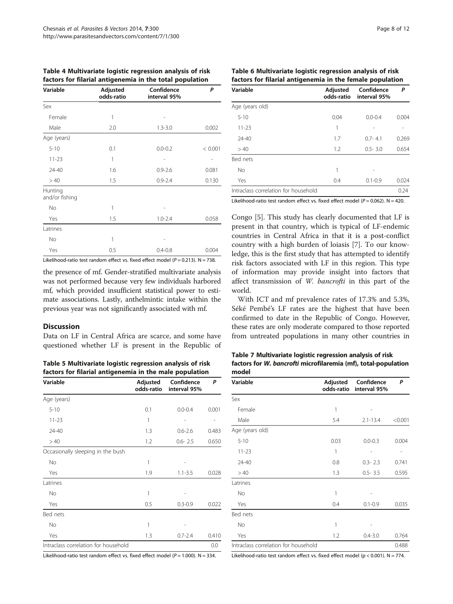| Variable                  | Adjusted<br>odds-ratio | Confidence<br>interval 95% | P       |
|---------------------------|------------------------|----------------------------|---------|
| Sex                       |                        |                            |         |
| Female                    | 1                      |                            |         |
| Male                      | 2.0                    | $1.3 - 3.0$                | 0.002   |
| Age (years)               |                        |                            |         |
| $5 - 10$                  | 0.1                    | $0.0 - 0.2$                | < 0.001 |
| $11 - 23$                 | 1                      |                            |         |
| 24-40                     | 1.6                    | $0.9 - 2.6$                | 0.081   |
| >40                       | 1.5                    | $0.9 - 2.4$                | 0.130   |
| Hunting<br>and/or fishing |                        |                            |         |
| No                        | 1                      |                            |         |
| Yes                       | 1.5                    | $1.0 - 2.4$                | 0.058   |
| Latrines                  |                        |                            |         |
| No                        | 1                      |                            |         |
| Yes                       | 0.5                    | $0.4 - 0.8$                | 0.004   |

<span id="page-7-0"></span>Table 4 Multivariate logistic regression analysis of risk factors for filarial antigenemia in the total population

Likelihood-ratio test random effect vs. fixed effect model ( $P = 0.213$ ). N = 738.

the presence of mf. Gender-stratified multivariate analysis was not performed because very few individuals harbored mf, which provided insufficient statistical power to estimate associations. Lastly, anthelmintic intake within the previous year was not significantly associated with mf.

#### **Discussion**

Data on LF in Central Africa are scarce, and some have questioned whether LF is present in the Republic of

Table 5 Multivariate logistic regression analysis of risk factors for filarial antigenemia in the male population

| Variable                             | Adjusted<br>odds-ratio | Confidence<br>interval 95% | P     |
|--------------------------------------|------------------------|----------------------------|-------|
| Age (years)                          |                        |                            |       |
| $5 - 10$                             | 0.1                    | $0.0 - 0.4$                | 0.001 |
| $11 - 23$                            | 1                      |                            |       |
| 24-40                                | 1.3                    | $0.6 - 2.6$                | 0.483 |
| >40                                  | 1.2                    | $0.6 - 2.5$                | 0.650 |
| Occasionally sleeping in the bush    |                        |                            |       |
| <b>No</b>                            | 1                      |                            |       |
| Yes                                  | 1.9                    | $1.1 - 3.5$                | 0.028 |
| Latrines                             |                        |                            |       |
| <b>No</b>                            | 1                      |                            |       |
| Yes                                  | 0.5                    | $0.3 - 0.9$                | 0.022 |
| Bed nets                             |                        |                            |       |
| <b>No</b>                            | 1                      |                            |       |
| Yes                                  | 1.3                    | $0.7 - 2.4$                | 0.410 |
| Intraclass correlation for household |                        |                            | 0.0   |

Likelihood-ratio test random effect vs. fixed effect model ( $P = 1.000$ ). N = 334.

| Page 8 of 1. |  |
|--------------|--|
|--------------|--|

| Table 6 Multivariate logistic regression analysis of risk |  |
|-----------------------------------------------------------|--|
| factors for filarial antigenemia in the female population |  |

| Variable                             | Adjusted<br>odds-ratio | Confidence<br>interval 95% | Ρ     |
|--------------------------------------|------------------------|----------------------------|-------|
| Age (years old)                      |                        |                            |       |
| $5 - 10$                             | 0.04                   | $0.0 - 0.4$                | 0.004 |
| $11 - 23$                            | 1                      |                            |       |
| $74 - 40$                            | 1.7                    | $0.7 - 4.1$                | 0.269 |
| >40                                  | 1.2                    | $0.5 - 3.0$                | 0.654 |
| Bed nets                             |                        |                            |       |
| No                                   | 1                      |                            |       |
| Yes                                  | 0.4                    | $0.1 - 0.9$                | 0.024 |
| Intraclass correlation for household |                        |                            | 0.24  |

Likelihood-ratio test random effect vs. fixed effect model ( $P = 0.062$ ). N = 420.

Congo [\[5](#page-9-0)]. This study has clearly documented that LF is present in that country, which is typical of LF-endemic countries in Central Africa in that it is a post-conflict country with a high burden of loiasis [\[7](#page-9-0)]. To our knowledge, this is the first study that has attempted to identify risk factors associated with LF in this region. This type of information may provide insight into factors that affect transmission of W. bancrofti in this part of the world.

With ICT and mf prevalence rates of 17.3% and 5.3%, Séké Pembé's LF rates are the highest that have been confirmed to date in the Republic of Congo. However, these rates are only moderate compared to those reported from untreated populations in many other countries in

Table 7 Multivariate logistic regression analysis of risk factors for W. bancrofti microfilaremia (mf), total-population model

| Variable                             | Adjusted<br>odds-ratio | Confidence<br>interval 95% | Ρ       |
|--------------------------------------|------------------------|----------------------------|---------|
| Sex                                  |                        |                            |         |
| Female                               | 1                      |                            |         |
| Male                                 | 5.4                    | $2.1 - 13.4$               | < 0.001 |
| Age (years old)                      |                        |                            |         |
| $5 - 10$                             | 0.03                   | $0.0 - 0.3$                | 0.004   |
| $11 - 23$                            | 1                      |                            |         |
| $74 - 40$                            | 0.8                    | $0.3 - 2.3$                | 0.741   |
| >40                                  | 1.3                    | $0.5 - 3.5$                | 0.595   |
| Latrines                             |                        |                            |         |
| No                                   | 1                      |                            |         |
| Yes                                  | 0.4                    | $0.1 - 0.9$                | 0.035   |
| Bed nets                             |                        |                            |         |
| <b>No</b>                            | 1                      |                            |         |
| Yes                                  | 1.2                    | $0.4 - 3.0$                | 0.764   |
| Intraclass correlation for household |                        |                            | 0.488   |

Likelihood-ratio test random effect vs. fixed effect model ( $p < 0.001$ ). N = 774.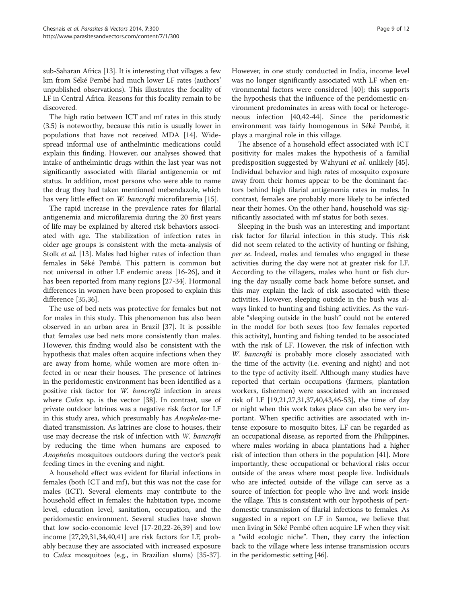sub-Saharan Africa [[13](#page-10-0)]. It is interesting that villages a few km from Séké Pembé had much lower LF rates (authors' unpublished observations). This illustrates the focality of LF in Central Africa. Reasons for this focality remain to be discovered.

The high ratio between ICT and mf rates in this study (3.5) is noteworthy, because this ratio is usually lower in populations that have not received MDA [\[14](#page-10-0)]. Widespread informal use of anthelmintic medications could explain this finding. However, our analyses showed that intake of anthelmintic drugs within the last year was not significantly associated with filarial antigenemia or mf status. In addition, most persons who were able to name the drug they had taken mentioned mebendazole, which has very little effect on W. bancrofti microfilaremia [\[15](#page-10-0)].

The rapid increase in the prevalence rates for filarial antigenemia and microfilaremia during the 20 first years of life may be explained by altered risk behaviors associated with age. The stabilization of infection rates in older age groups is consistent with the meta-analysis of Stolk *et al.* [\[13](#page-10-0)]. Males had higher rates of infection than females in Séké Pembé. This pattern is common but not universal in other LF endemic areas [\[16](#page-10-0)-[26\]](#page-10-0), and it has been reported from many regions [\[27-34](#page-10-0)]. Hormonal differences in women have been proposed to explain this difference [\[35,36\]](#page-10-0).

The use of bed nets was protective for females but not for males in this study. This phenomenon has also been observed in an urban area in Brazil [[37\]](#page-10-0). It is possible that females use bed nets more consistently than males. However, this finding would also be consistent with the hypothesis that males often acquire infections when they are away from home, while women are more often infected in or near their houses. The presence of latrines in the peridomestic environment has been identified as a positive risk factor for W. bancrofti infection in areas where *Culex* sp. is the vector [[38](#page-10-0)]. In contrast, use of private outdoor latrines was a negative risk factor for LF in this study area, which presumably has Anopheles-mediated transmission. As latrines are close to houses, their use may decrease the risk of infection with W. bancrofti by reducing the time when humans are exposed to Anopheles mosquitoes outdoors during the vector's peak feeding times in the evening and night.

A household effect was evident for filarial infections in females (both ICT and mf), but this was not the case for males (ICT). Several elements may contribute to the household effect in females: the habitation type, income level, education level, sanitation, occupation, and the peridomestic environment. Several studies have shown that low socio-economic level [\[17](#page-10-0)-[20](#page-10-0),[22-26,39\]](#page-10-0) and low income [[27,29,31,34](#page-10-0),[40](#page-10-0),[41](#page-10-0)] are risk factors for LF, probably because they are associated with increased exposure to Culex mosquitoes (e.g., in Brazilian slums) [\[35-37](#page-10-0)].

However, in one study conducted in India, income level was no longer significantly associated with LF when environmental factors were considered [[40\]](#page-10-0); this supports the hypothesis that the influence of the peridomestic environment predominates in areas with focal or heterogeneous infection [\[40,42-44](#page-10-0)]. Since the peridomestic environment was fairly homogenous in Séké Pembé, it plays a marginal role in this village.

The absence of a household effect associated with ICT positivity for males makes the hypothesis of a familial predisposition suggested by Wahyuni et al. unlikely [\[45](#page-10-0)]. Individual behavior and high rates of mosquito exposure away from their homes appear to be the dominant factors behind high filarial antigenemia rates in males. In contrast, females are probably more likely to be infected near their homes. On the other hand, household was significantly associated with mf status for both sexes.

Sleeping in the bush was an interesting and important risk factor for filarial infection in this study. This risk did not seem related to the activity of hunting or fishing, per se. Indeed, males and females who engaged in these activities during the day were not at greater risk for LF. According to the villagers, males who hunt or fish during the day usually come back home before sunset, and this may explain the lack of risk associated with these activities. However, sleeping outside in the bush was always linked to hunting and fishing activities. As the variable "sleeping outside in the bush" could not be entered in the model for both sexes (too few females reported this activity), hunting and fishing tended to be associated with the risk of LF. However, the risk of infection with W. bancrofti is probably more closely associated with the time of the activity (i.e. evening and night) and not to the type of activity itself. Although many studies have reported that certain occupations (farmers, plantation workers, fishermen) were associated with an increased risk of LF [\[19,21,27,31,37,40,43,46-53\]](#page-10-0), the time of day or night when this work takes place can also be very important. When specific activities are associated with intense exposure to mosquito bites, LF can be regarded as an occupational disease, as reported from the Philippines, where males working in abaca plantations had a higher risk of infection than others in the population [\[41](#page-10-0)]. More importantly, these occupational or behavioral risks occur outside of the areas where most people live. Individuals who are infected outside of the village can serve as a source of infection for people who live and work inside the village. This is consistent with our hypothesis of peridomestic transmission of filarial infections to females. As suggested in a report on LF in Samoa, we believe that men living in Séké Pembé often acquire LF when they visit a "wild ecologic niche". Then, they carry the infection back to the village where less intense transmission occurs in the peridomestic setting [[46\]](#page-10-0).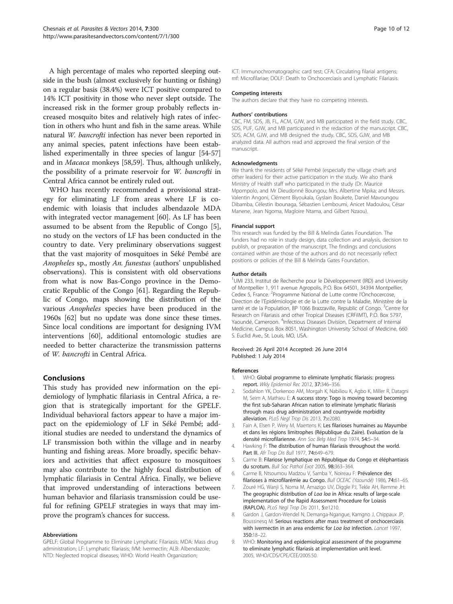<span id="page-9-0"></span>A high percentage of males who reported sleeping outside in the bush (almost exclusively for hunting or fishing) on a regular basis (38.4%) were ICT positive compared to 14% ICT positivity in those who never slept outside. The increased risk in the former group probably reflects increased mosquito bites and relatively high rates of infection in others who hunt and fish in the same areas. While natural W. bancrofti infection has never been reported in any animal species, patent infections have been established experimentally in three species of langur [[54](#page-10-0)-[57](#page-11-0)] and in Macaca monkeys [[58,59](#page-11-0)]. Thus, although unlikely, the possibility of a primate reservoir for W. bancrofti in Central Africa cannot be entirely ruled out.

WHO has recently recommended a provisional strategy for eliminating LF from areas where LF is coendemic with loiasis that includes albendazole MDA with integrated vector management [[60\]](#page-11-0). As LF has been assumed to be absent from the Republic of Congo [5], no study on the vectors of LF has been conducted in the country to date. Very preliminary observations suggest that the vast majority of mosquitoes in Séké Pembé are Anopheles sp., mostly An. funestus (authors' unpublished observations). This is consistent with old observations from what is now Bas-Congo province in the Democratic Republic of the Congo [\[61\]](#page-11-0). Regarding the Republic of Congo, maps showing the distribution of the various Anopheles species have been produced in the 1960s [[62\]](#page-11-0) but no update was done since these times. Since local conditions are important for designing IVM interventions [[60](#page-11-0)], additional entomologic studies are needed to better characterize the transmission patterns of W. bancrofti in Central Africa.

# Conclusions

This study has provided new information on the epidemiology of lymphatic filariasis in Central Africa, a region that is strategically important for the GPELF. Individual behavioral factors appear to have a major impact on the epidemiology of LF in Séké Pembé; additional studies are needed to understand the dynamics of LF transmission both within the village and in nearby hunting and fishing areas. More broadly, specific behaviors and activities that affect exposure to mosquitoes may also contribute to the highly focal distribution of lymphatic filariasis in Central Africa. Finally, we believe that improved understanding of interactions between human behavior and filariasis transmission could be useful for refining GPELF strategies in ways that may improve the program's chances for success.

#### Abbreviations

GPELF: Global Programme to Eliminate Lymphatic Filariasis; MDA: Mass drug administration; LF: Lymphatic filariasis; IVM: Ivermectin; ALB: Albendazole; NTD: Neglected tropical diseases; WHO: World Health Organization;

ICT: Immunochromatographic card test; CFA: Circulating filarial antigens; mf: Microfilariae; DOLF: Death to Onchocerciasis and Lymphatic Filariasis.

#### Competing interests

The authors declare that they have no competing interests.

#### Authors' contributions

CBC, FM, SDS, JB, FL, ACM, GJW, and MB participated in the field study. CBC, SDS, PUF, GJW, and MB participated in the redaction of the manuscript. CBC, SDS, ACM, GJW, and MB designed the study. CBC, SDS, GJW, and MB analyzed data. All authors read and approved the final version of the manuscript.

#### Acknowledgments

We thank the residents of Séké Pembé (especially the village chiefs and other leaders) for their active participation in the study. We also thank Ministry of Health staff who participated in the study (Dr. Maurice Mpompolo, and Mr Dieudonné Boungou; Mrs. Albertine Mpika; and Messrs. Valentin Angoni, Clément Biyoukala, Gyslain Boukete, Daniel Mavoungou Dibamba, Célestin Ibounaga, Sébastien Lemboumi, Anicet Madoulou, César Manene, Jean Ngoma, Magloire Ntama, and Gilbert Nzaou).

#### Financial support

This research was funded by the Bill & Melinda Gates Foundation. The funders had no role in study design, data collection and analysis, decision to publish, or preparation of the manuscript. The findings and conclusions contained within are those of the authors and do not necessarily reflect positions or policies of the Bill & Melinda Gates Foundation.

#### Author details

<sup>1</sup>UMI 233, Institut de Recherche pour le Développement (IRD) and University of Montpellier 1, 911 avenue Agropolis, P.O. Box 64501, 34394 Montpellier, Cedex 5, France. <sup>2</sup>Programme National de Lutte contre l'Onchocercose, Direction de l'Epidémiologie et de la Lutte contre la Maladie, Ministère de la santé et de la Population, BP 1066 Brazzaville, Republic of Congo. <sup>3</sup>Centre for Research on Filariasis and other Tropical Diseases (CRFilMT), P.O. Box 5797, Yaoundé, Cameroon. <sup>4</sup>Infectious Diseases Division, Department of Internal Medicine, Campus Box 8051, Washington University School of Medicine, 660 S. Euclid Ave., St. Louis, MO, USA.

#### Received: 26 April 2014 Accepted: 26 June 2014 Published: 1 July 2014

#### References

- 1. WHO: Global programme to eliminate lymphatic filariasis: progress report. Wkly Epidemiol Rec 2012, 37:346–356.
- 2. Sodahlon YK, Dorkenoo AM, Morgah K, Nabiliou K, Agbo K, Miller R, Datagni M, Seim A, Mathieu E: A success story: Togo is moving toward becoming the first sub-Saharan African nation to eliminate lymphatic filariasis through mass drug administration and countrywide morbidity alleviation. PLoS Negl Trop Dis 2013, 7:e2080.
- 3. Fain A, Elsen P, Wery M, Maertens K: Les filarioses humaines au Mayumbe et dans les régions limitrophes (République du Zaïre). Evaluation de la densité microfilarienne. Ann Soc Belg Med Trop 1974, 54:5–34.
- 4. Hawking F: The distribution of human filariasis throughout the world. Part III. Afr Trop Dis Bull 1977, 74:649–679.
- 5. Carme B: Filariose lymphatique en République du Congo et éléphantiasis du scrotum. Bull Soc Pathol Exot 2005, 98:363–364.
- 6. Carme B, Ntsoumou Madzou V, Samba Y, Noireau F: Prévalence des filarioses à microfilarémie au Congo. Bull OCEAC (Yaoundé) 1986, 74:61–65.
- 7. Zouré HG, Wanji S, Noma M, Amazigo UV, Diggle PJ, Tekle AH, Remme JH: The geographic distribution of Loa loa in Africa: results of large-scale implementation of the Rapid Assessment Procedure for Loiasis (RAPLOA). PLoS Negl Trop Dis 2011, 5:e1210.
- 8. Gardon J, Gardon-Wendel N, Demanga-Ngangue, Kamgno J, Chippaux JP, Boussinesq M: Serious reactions after mass treatment of onchocerciasis with ivermectin in an area endemic for Loa loa infection. Lancet 1997, 350:18–22.
- 9. WHO: Monitoring and epidemiological assessment of the programme to eliminate lymphatic filariasis at implementation unit level. 2005, WHO/CDS/CPE/CEE/2005.50.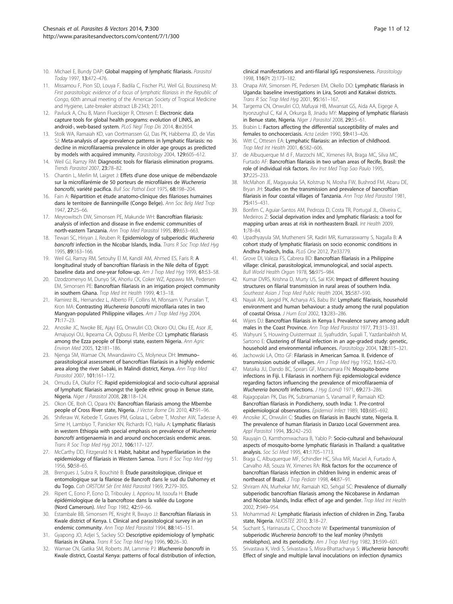- <span id="page-10-0"></span>10. Michael E, Bundy DAP: Global mapping of lymphatic filariasis. Parasitol Today 1997, 13:472–476.
- 11. Missamou F, Pion SD, Louya F, Badila C, Fischer PU, Weil GJ, Boussinesq M: First parasitologic evidence of a focus of lymphatic filariasis in the Republic of Congo, 60th annual meeting of the American Society of Tropical Medicine and Hygiene, Late-breaker abstract LB-2343; 2011.
- 12. Pavluck A, Chu B, Mann Flueckiger R, Ottesen F: Electronic data capture tools for global health programs: evolution of LINKS, an android-, web-based system. PLoS Negl Trop Dis 2014, 8:e2654.
- 13. Stolk WA, Ramaiah KD, van Oortmarssen GJ, Das PK, Habbema JD, de Vlas SJ: Meta-analysis of age-prevalence patterns in lymphatic filariasis: no decline in microfilaraemia prevalence in older age groups as predicted by models with acquired immunity. Parasitology 2004, 129:605–612.
- 14. Weil GJ, Ramzy RM: Diagnostic tools for filariasis elimination programs. Trends Parasitol 2007, 23:78–82.
- 15. Chantin L, Merlin M, Laigret J: Effets d'une dose unique de mébendazole sur la microfilarémie de 50 porteurs de microfilaires de Wuchereria bancrofti, variété pacifica. Bull Soc Pathol Exot 1975, 68:198–204.
- 16. Fain A: Répartition et étude anatomo-clinique des filarioses humaines dans le territoire de Banningville (Congo Belge). Ann Soc Belg Med Trop 1947, 27:25–66.
- 17. Meyrowitsch DW, Simonsen PE, Makunde WH: Bancroftian filariasis: analysis of infection and disease in five endemic communities of north-eastern Tanzania. Ann Trop Med Parasitol 1995, 89:653–663.
- Tewari SC, Hiriyan J, Reuben R: Epidemiology of subperiodic Wuchereria bancrofti infection in the Nicobar Islands, India. Trans R Soc Trop Med Hyg 1995, 89:163–166.
- 19. Weil GJ, Ramzy RM, Setouhy El M, Kandil AM, Ahmed ES, Faris R: A longitudinal study of bancroftian filariasis in the Nile delta of Egypt: baseline data and one-year follow-up. Am J Trop Med Hyg 1999, 61:53–58.
- 20. Dzodzomenyo M, Dunyo SK, Ahorlu CK, Coker WZ, Appawu MA, Pedersen EM, Simonsen PE: Bancroftian filariasis in an irrigation project community in southern Ghana. Trop Med Int Health 1999, 4:13-18.
- 21. Ramirez BL, Hernandez L, Alberto FF, Collins M, Nfonsam V, Punsalan T, Kron MA: Contrasting Wuchereria bancrofti microfilaria rates in two Mangyan-populated Philippine villages. Am J Trop Med Hyg 2004, 71:17–23.
- 22. Anosike JC, Nwoke BE, Ajayi EG, Onwuliri CO, Okoro OU, Oku EE, Asor JE, Amajuoyi OU, Ikpeama CA, Ogbusu FI, Meribe CO: Lymphatic filariasis among the Ezza people of Ebonyi state, eastern Nigeria. Ann Agric Environ Med 2005, 12:181–186.
- 23. Njenga SM, Wamae CN, Mwandawiro CS, Molyneux DH: Immuno– parasitological assessment of bancroftian filariasis in a highly endemic area along the river Sabaki, in Malindi district, Kenya. Ann Trop Med Parasitol 2007, 101:161–172.
- 24. Omudu EA, Okafor FC: Rapid epidemiological and socio-cultural appraisal of lymphatic filariasis amongst the Igede ethnic group in Benue state, Nigeria. Niger J Parasitol 2008, 28:118–124.
- 25. Okon OE, Iboh CI, Opara KN: Bancroftian filariasis among the Mbembe people of Cross River state, Nigeria. J Vector Borne Dis 2010, 47:91–96.
- 26. Shiferaw W, Kebede T, Graves PM, Golasa L, Gebre T, Mosher AW, Tadesse A, Sime H, Lambiyo T, Panicker KN, Richards FO, Hailu A: Lymphatic filariasis in western Ethiopia with special emphasis on prevalence of Wuchereria bancrofti antigenaemia in and around onchocerciasis endemic areas. Trans R Soc Trop Med Hyg 2012, 106:117–127.
- 27. McCarthy DD, Fitzgerald N: I. Habit, habitat and hyperfilariation in the epidemiology of filariasis in Western Samoa. Trans R Soc Trop Med Hyg 1956, 50:58–65.
- 28. Brengues J, Subra R, Bouchité B: Étude parasitologique, clinique et entomologique sur la filariose de Bancroft dans le sud du Dahomey et du Togo. Cah ORSTOM Sér Ent Méd Parasitol 1969, 7:279–305.
- 29. Ripert C, Eono P, Eono D, Tribouley J, Appriou M, Issoufa H: Etude épidémiologique de la bancroftose dans la vallée du Logone (Nord Cameroun). Med Trop 1982, 42:59–66.
- 30. Estambale BB, Simonsen PE, Knight R, Bwayo JJ: Bancroftian filariasis in Kwale district of Kenya. I. Clinical and parasitological survey in an endemic community. Ann Trop Med Parasitol 1994, 88:145–151.
- 31. Gyapong JO, Adjei S, Sackey SO: Descriptive epidemiology of lymphatic filariasis in Ghana. Trans R Soc Trop Med Hyg 1996, 90:26-30.
- 32. Wamae CN, Gatika SM, Roberts JM, Lammie PJ: Wuchereria bancrofti in Kwale district, Coastal Kenya: patterns of focal distribution of infection,
- 33. Onapa AW, Simonsen PE, Pedersen EM, Okello DO: Lymphatic filariasis in Uganda: baseline investigations in Lira, Soroti and Katakwi districts. Trans R Soc Trop Med Hyg 2001, 95:161–167.
- 34. Targema CN, Onwuliri CO, Mafuyai HB, Mwansat GS, Aida AA, Eigege A, Ityonzughul C, Kal A, Orkurga B, Jinadu MY: Mapping of lymphatic filariasis in Benue state, Nigeria. Niger J Parasitol 2008, 29:55-61.
- 35. Brabin L: Factors affecting the differential susceptibility of males and females to onchocerciasis. Acta Leiden 1990, 59:413–426.
- 36. Witt C, Ottesen EA: Lymphatic filariasis: an infection of childhood. Trop Med Int Health 2001, 6:582–606.
- 37. de Albuquerque M d F, Marzochi MC, Ximenes RA, Braga MC, Silva MC, Furtado AF: Bancroftian filariasis in two urban areas of Recife, Brasil: the role of individual risk factors. Rev Inst Med Trop Sao Paulo 1995,  $37.225 - 233$
- 38. McMahon JE, Magayauka SA, Kolstrup N, Mosha FW, Bushrod FM, Abaru DE, Bryan JH: Studies on the transmission and prevalence of bancroftian filariasis in four coastal villages of Tanzania. Ann Trop Med Parasitol 1981, 75:415–431.
- 39. Bonfim C, Aguiar-Santos AM, Pedroza D, Costa TR, Portugal JL, Oliveira C, Medeiros Z: Social deprivation index and lymphatic filariasis: a tool for mapping urban areas at risk in northeastern Brazil. Int Health 2009, 1:78–84.
- 40. Upadhyayula SM, Mutheneni SR, Kadiri MR, Kumaraswamy S, Nagalla B: A cohort study of lymphatic filariasis on socio economic conditions in Andhra Pradesh, India. PLoS One 2012, 7:e33779.
- 41. Grove DI, Valeza FS, Cabrera BD: Bancroftian filariasis in a Philippine village: clinical, parasitological, immunological, and social aspects. Bull World Health Organ 1978, 56:975–984.
- 42. Kumar DVRS, Krishna D, Murty US, Sai KSK: Impact of different housing structures on filarial transmission in rural areas of southern India. Southeast Asian J Trop Med Public Health 2004, 35:587–590.
- 43. Nayak AN, Jangid PK, Acharya AS, Babu BV: Lymphatic filariasis, household environment and human behaviour: a study among the rural population of coastal Orissa. J Hum Ecol 2002, 13:283–286.
- 44. Wijers DJ: Bancroftian filariasis in Kenya I. Prevalence survey among adult males in the Coast Province. Ann Trop Med Parasitol 1977, 71:313–331.
- 45. Wahyuni S, Houwing-Duistermaat JJ, Syafruddin, Supali T, Yazdanbakhsh M, Sartono E: Clustering of filarial infection in an age-graded study: genetic, household and environmental influences. Parasitology 2004, 128:315–321.
- 46. Jachowski LA, Otto GF: Filariasis in American Samoa. II. Evidence of transmission outside of villages. Am J Trop Med Hyg 1952, 1:662-670.
- 47. Mataika JU, Dando BC, Spears GF, Macnamara FN: Mosquito-borne infections in Fiji. I. Filariasis in northern Fiji: epidemiological evidence regarding factors influencing the prevalence of microfilaraemia of Wuchereria bancrofti infections. J Hyg (Lond) 1971, 69:273-286.
- 48. Rajagopalan PK, Das PK, Subramanian S, Vanamail P, Ramaiah KD: Bancroftian filariasis in Pondicherry, south India: 1. Pre-control epidemiological observations. Epidemiol Infect 1989, 103:685–692.
- 49. Anosike JC, Onwuliri C: Studies on filariasis in Bauchi state, Nigeria. II. The prevalence of human filariasis in Darazo Local Government area. Appl Parasitol 1994, 35:242–250.
- 50. Rauyajin O, Kamthornwachara B, Yablo P: Socio-cultural and behavioural aspects of mosquito-borne lymphatic filariasis in Thailand: a qualitative analysis. Soc Sci Med 1995, 41:1705–1713.
- 51. Braga C, Albuquerque MF, Schindler HC, Silva MR, Maciel A, Furtado A, Carvalho AB, Souza W, Ximenes RA: Risk factors for the occurrence of bancroftian filariasis infection in children living in endemic areas of northeast of Brazil. J Trop Pediatr 1998, 44:87–91.
- 52. Shriram AN, Murhekar MV, Ramaiah KD, Sehgal SC: Prevalence of diurnally subperiodic bancroftian filariasis among the Nicobarese in Andaman and Nicobar Islands, India: effect of age and gender. Trop Med Int Health 2002, 7:949–954.
- 53. Mohammad AI: Lymphatic filariasis infection of children in Zing, Taraba state, Nigeria. NIJOSTEE 2010, 3:18–27.
- 54. Sucharit S, Harinasuta C, Choochote W: Experimental transmission of subperiodic Wuchereria bancrofti to the leaf monley (Presbytis melalophos), and its periodicity. Am J Trop Med Hyg 1982, 31:599-601.
- 55. Srivastava K, Vedi S, Srivastava S, Misra-Bhattacharya S: Wuchereria bancrofti: Effect of single and multiple larval inoculations on infection dynamics